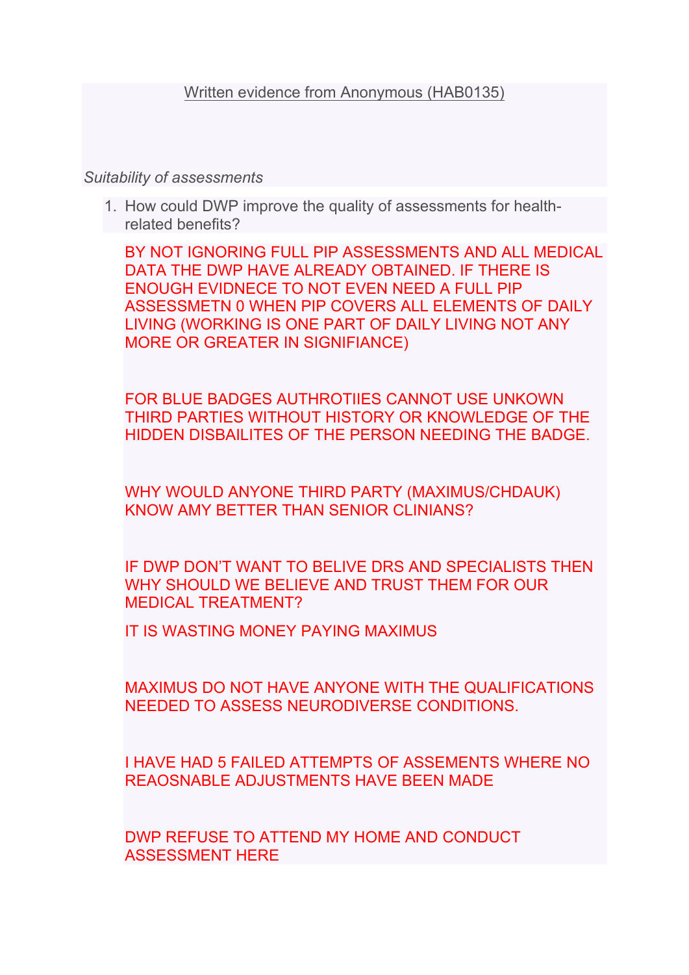## *Suitability of assessments*

1. How could DWP improve the quality of assessments for healthrelated benefits?

BY NOT IGNORING FULL PIP ASSESSMENTS AND ALL MEDICAL DATA THE DWP HAVE ALREADY OBTAINED. IF THERE IS ENOUGH EVIDNECE TO NOT EVEN NEED A FULL PIP ASSESSMETN 0 WHEN PIP COVERS ALL ELEMENTS OF DAILY LIVING (WORKING IS ONE PART OF DAILY LIVING NOT ANY MORE OR GREATER IN SIGNIFIANCE)

FOR BLUE BADGES AUTHROTIIES CANNOT USE UNKOWN THIRD PARTIES WITHOUT HISTORY OR KNOWLEDGE OF THE HIDDEN DISBAILITES OF THE PERSON NEEDING THE BADGE.

WHY WOULD ANYONE THIRD PARTY (MAXIMUS/CHDAUK) KNOW AMY BETTER THAN SENIOR CLINIANS?

IF DWP DON'T WANT TO BELIVE DRS AND SPECIALISTS THEN WHY SHOULD WE BELIEVE AND TRUST THEM FOR OUR MEDICAL TREATMENT?

IT IS WASTING MONEY PAYING MAXIMUS

MAXIMUS DO NOT HAVE ANYONE WITH THE QUALIFICATIONS NEEDED TO ASSESS NEURODIVERSE CONDITIONS.

I HAVE HAD 5 FAILED ATTEMPTS OF ASSEMENTS WHERE NO REAOSNABLE ADJUSTMENTS HAVE BEEN MADE

DWP REFUSE TO ATTEND MY HOME AND CONDUCT ASSESSMENT HERE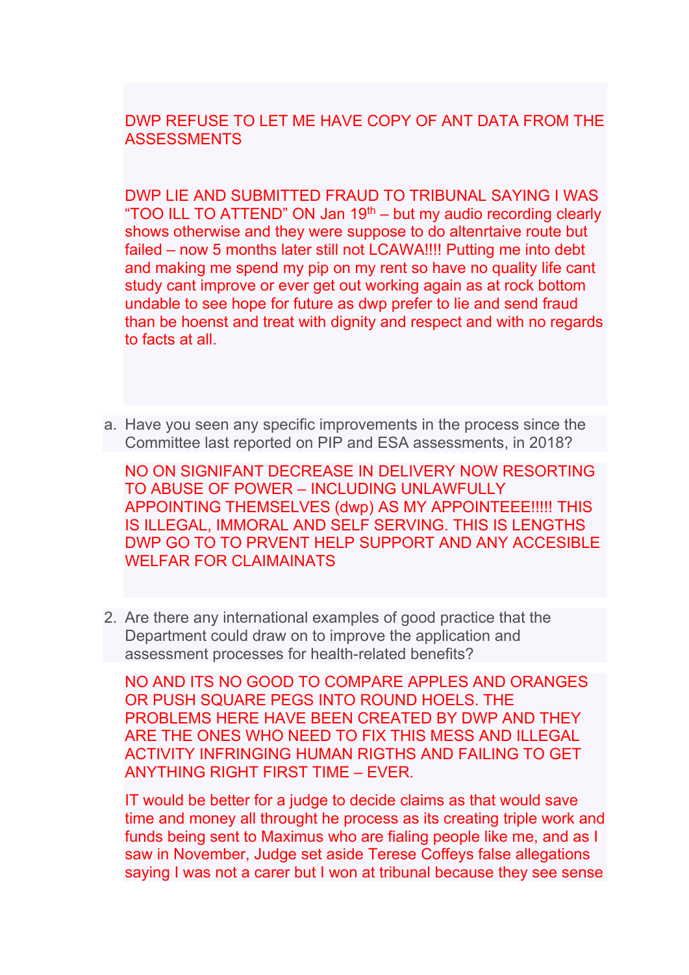DWP REFUSE TO LET ME HAVE COPY OF ANT DATA FROM THE **ASSESSMENTS** 

DWP LIE AND SUBMITTED FRAUD TO TRIBUNAL SAYING I WAS "TOO ILL TO ATTEND" ON Jan  $19<sup>th</sup>$  – but my audio recording clearly shows otherwise and they were suppose to do altenrtaive route but failed – now 5 months later still not LCAWA!!!! Putting me into debt and making me spend my pip on my rent so have no quality life cant study cant improve or ever get out working again as at rock bottom undable to see hope for future as dwp prefer to lie and send fraud than be hoenst and treat with dignity and respect and with no regards to facts at all.

a. Have you seen any specific improvements in the process since the Committee last reported on PIP and ESA assessments, in 2018?

NO ON SIGNIFANT DECREASE IN DELIVERY NOW RESORTING TO ABUSE OF POWER – INCLUDING UNLAWFULLY APPOINTING THEMSELVES (dwp) AS MY APPOINTEEE!!!!! THIS IS ILLEGAL, IMMORAL AND SELF SERVING. THIS IS LENGTHS DWP GO TO TO PRVENT HELP SUPPORT AND ANY ACCESIBLE WELFAR FOR CLAIMAINATS

2. Are there any international examples of good practice that the Department could draw on to improve the application and assessment processes for health-related benefits?

NO AND ITS NO GOOD TO COMPARE APPLES AND ORANGES OR PUSH SQUARE PEGS INTO ROUND HOELS. THE PROBLEMS HERE HAVE BEEN CREATED BY DWP AND THEY ARE THE ONES WHO NEED TO FIX THIS MESS AND ILLEGAL ACTIVITY INFRINGING HUMAN RIGTHS AND FAILING TO GET ANYTHING RIGHT FIRST TIME – EVER.

IT would be better for a judge to decide claims as that would save time and money all throught he process as its creating triple work and funds being sent to Maximus who are fialing people like me, and as I saw in November, Judge set aside Terese Coffeys false allegations saying I was not a carer but I won at tribunal because they see sense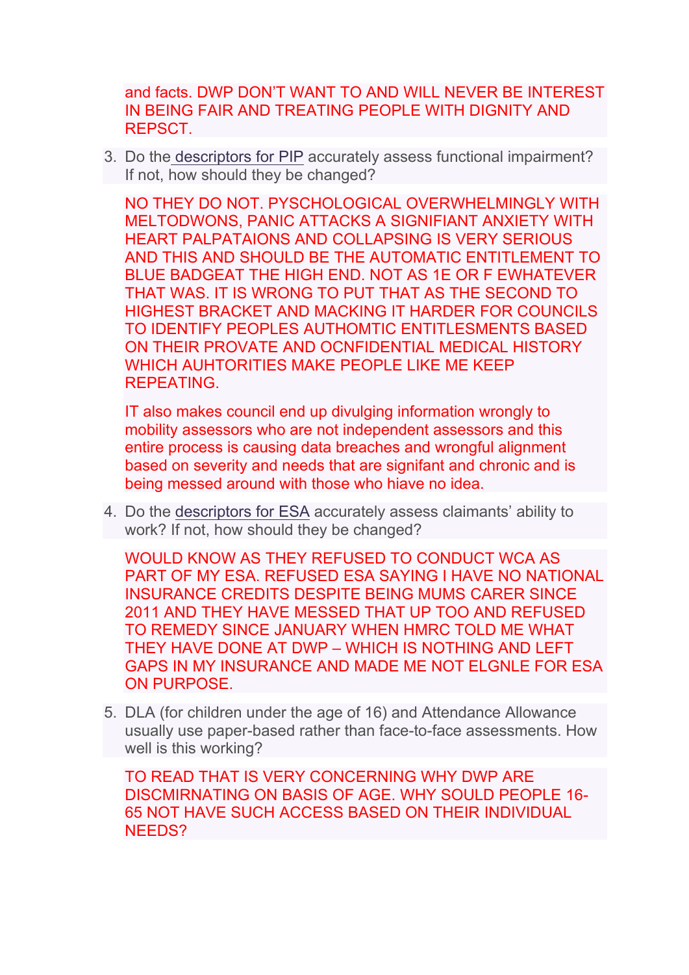and facts. DWP DON'T WANT TO AND WILL NEVER BE INTEREST IN BEING FAIR AND TREATING PEOPLE WITH DIGNITY AND REPSCT.

3. Do the [descriptors](https://www.citizensadvice.org.uk/Global/Migrated_Documents/adviceguide/pip-9-table-of-activities-descriptors-and-points.pdf) [for](https://www.citizensadvice.org.uk/Global/Migrated_Documents/adviceguide/pip-9-table-of-activities-descriptors-and-points.pdf) [PIP](https://www.citizensadvice.org.uk/Global/Migrated_Documents/adviceguide/pip-9-table-of-activities-descriptors-and-points.pdf) accurately assess functional impairment? If not, how should they be changed?

NO THEY DO NOT. PYSCHOLOGICAL OVERWHELMINGLY WITH MELTODWONS, PANIC ATTACKS A SIGNIFIANT ANXIETY WITH HEART PALPATAIONS AND COLLAPSING IS VERY SERIOUS AND THIS AND SHOULD BE THE AUTOMATIC ENTITLEMENT TO BLUE BADGEAT THE HIGH END. NOT AS 1E OR F EWHATEVER THAT WAS. IT IS WRONG TO PUT THAT AS THE SECOND TO HIGHEST BRACKET AND MACKING IT HARDER FOR COUNCILS TO IDENTIFY PEOPLES AUTHOMTIC ENTITLESMENTS BASED ON THEIR PROVATE AND OCNFIDENTIAL MEDICAL HISTORY WHICH AUHTORITIES MAKE PEOPLE LIKE ME KEEP REPEATING.

IT also makes council end up divulging information wrongly to mobility assessors who are not independent assessors and this entire process is causing data breaches and wrongful alignment based on severity and needs that are signifant and chronic and is being messed around with those who hiave no idea.

4. Do the [descriptors](https://www.citizensadvice.org.uk/benefits/sick-or-disabled-people-and-carers/employment-and-support-allowance/help-with-your-esa-claim/fill-in-form/) [for](https://www.citizensadvice.org.uk/benefits/sick-or-disabled-people-and-carers/employment-and-support-allowance/help-with-your-esa-claim/fill-in-form/) [ESA](https://www.citizensadvice.org.uk/benefits/sick-or-disabled-people-and-carers/employment-and-support-allowance/help-with-your-esa-claim/fill-in-form/) accurately assess claimants' ability to work? If not, how should they be changed?

WOULD KNOW AS THEY REFUSED TO CONDUCT WCA AS PART OF MY ESA. REFUSED ESA SAYING I HAVE NO NATIONAL INSURANCE CREDITS DESPITE BEING MUMS CARER SINCE 2011 AND THEY HAVE MESSED THAT UP TOO AND REFUSED TO REMEDY SINCE JANUARY WHEN HMRC TOLD ME WHAT THEY HAVE DONE AT DWP – WHICH IS NOTHING AND LEFT GAPS IN MY INSURANCE AND MADE ME NOT ELGNLE FOR ESA ON PURPOSE.

5. DLA (for children under the age of 16) and Attendance Allowance usually use paper-based rather than face-to-face assessments. How well is this working?

TO READ THAT IS VERY CONCERNING WHY DWP ARE DISCMIRNATING ON BASIS OF AGE. WHY SOULD PEOPLE 16- 65 NOT HAVE SUCH ACCESS BASED ON THEIR INDIVIDUAL NEEDS?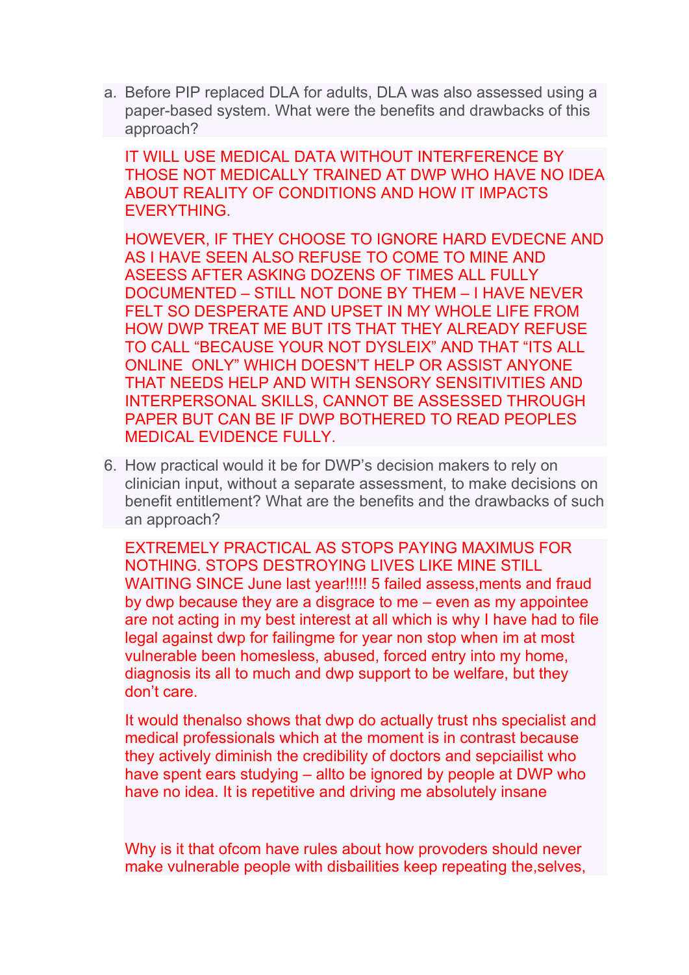a. Before PIP replaced DLA for adults, DLA was also assessed using a paper-based system. What were the benefits and drawbacks of this approach?

IT WILL USE MEDICAL DATA WITHOUT INTERFERENCE BY THOSE NOT MEDICALLY TRAINED AT DWP WHO HAVE NO IDEA ABOUT REALITY OF CONDITIONS AND HOW IT IMPACTS EVERYTHING.

HOWEVER, IF THEY CHOOSE TO IGNORE HARD EVDECNE AND AS I HAVE SEEN ALSO REFUSE TO COME TO MINE AND ASEESS AFTER ASKING DOZENS OF TIMES ALL FULLY DOCUMENTED – STILL NOT DONE BY THEM – I HAVE NEVER FELT SO DESPERATE AND UPSET IN MY WHOLE LIFE FROM HOW DWP TREAT ME BUT ITS THAT THEY ALREADY REFUSE TO CALL "BECAUSE YOUR NOT DYSLEIX" AND THAT "ITS ALL ONLINE ONLY" WHICH DOESN'T HELP OR ASSIST ANYONE THAT NEEDS HELP AND WITH SENSORY SENSITIVITIES AND INTERPERSONAL SKILLS, CANNOT BE ASSESSED THROUGH PAPER BUT CAN BE IF DWP BOTHERED TO READ PEOPLES MEDICAL EVIDENCE FULLY.

6. How practical would it be for DWP's decision makers to rely on clinician input, without a separate assessment, to make decisions on benefit entitlement? What are the benefits and the drawbacks of such an approach?

EXTREMELY PRACTICAL AS STOPS PAYING MAXIMUS FOR NOTHING. STOPS DESTROYING LIVES LIKE MINE STILL WAITING SINCE June last year!!!!! 5 failed assess,ments and fraud by dwp because they are a disgrace to me – even as my appointee are not acting in my best interest at all which is why I have had to file legal against dwp for failingme for year non stop when im at most vulnerable been homesless, abused, forced entry into my home, diagnosis its all to much and dwp support to be welfare, but they don't care.

It would thenalso shows that dwp do actually trust nhs specialist and medical professionals which at the moment is in contrast because they actively diminish the credibility of doctors and sepciailist who have spent ears studying – allto be ignored by people at DWP who have no idea. It is repetitive and driving me absolutely insane

Why is it that ofcom have rules about how provoders should never make vulnerable people with disbailities keep repeating the,selves,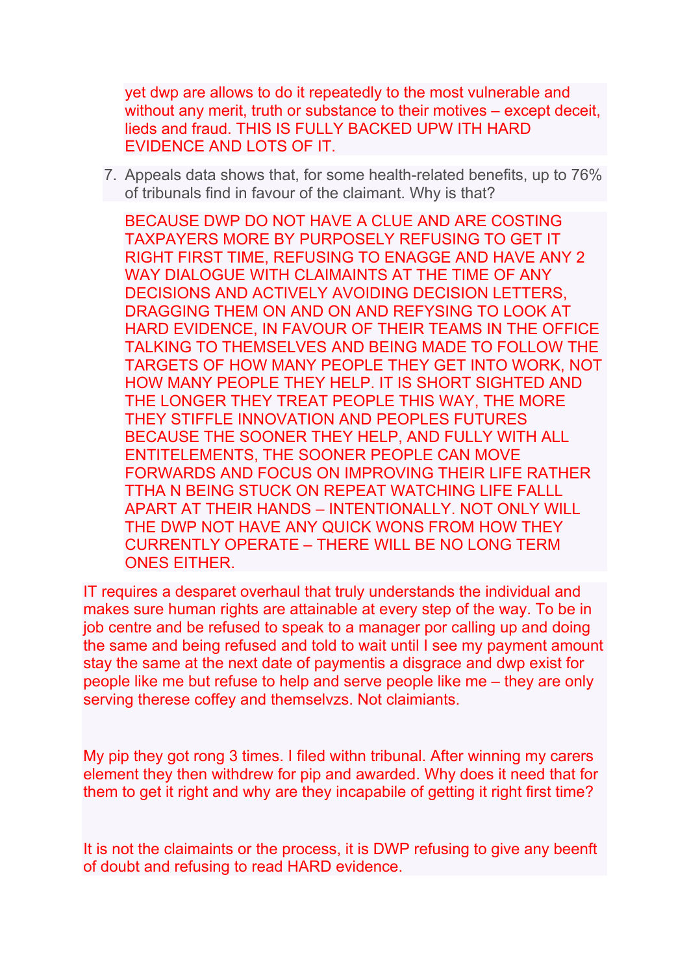yet dwp are allows to do it repeatedly to the most vulnerable and without any merit, truth or substance to their motives – except deceit, lieds and fraud. THIS IS FULLY BACKED UPW ITH HARD EVIDENCE AND LOTS OF IT.

7. Appeals data shows that, for some health-related benefits, up to 76% of tribunals find in favour of the claimant. Why is that?

BECAUSE DWP DO NOT HAVE A CLUE AND ARE COSTING TAXPAYERS MORE BY PURPOSELY REFUSING TO GET IT RIGHT FIRST TIME, REFUSING TO ENAGGE AND HAVE ANY 2 WAY DIALOGUE WITH CLAIMAINTS AT THE TIME OF ANY DECISIONS AND ACTIVELY AVOIDING DECISION LETTERS, DRAGGING THEM ON AND ON AND REFYSING TO LOOK AT HARD EVIDENCE, IN FAVOUR OF THEIR TEAMS IN THE OFFICE TALKING TO THEMSELVES AND BEING MADE TO FOLLOW THE TARGETS OF HOW MANY PEOPLE THEY GET INTO WORK, NOT HOW MANY PEOPLE THEY HELP. IT IS SHORT SIGHTED AND THE LONGER THEY TREAT PEOPLE THIS WAY, THE MORE THEY STIFFLE INNOVATION AND PEOPLES FUTURES BECAUSE THE SOONER THEY HELP, AND FULLY WITH ALL ENTITELEMENTS, THE SOONER PEOPLE CAN MOVE FORWARDS AND FOCUS ON IMPROVING THEIR LIFE RATHER TTHA N BEING STUCK ON REPEAT WATCHING LIFE FALLL APART AT THEIR HANDS – INTENTIONALLY. NOT ONLY WILL THE DWP NOT HAVE ANY QUICK WONS FROM HOW THEY CURRENTLY OPERATE – THERE WILL BE NO LONG TERM ONES EITHER.

IT requires a desparet overhaul that truly understands the individual and makes sure human rights are attainable at every step of the way. To be in job centre and be refused to speak to a manager por calling up and doing the same and being refused and told to wait until I see my payment amount stay the same at the next date of paymentis a disgrace and dwp exist for people like me but refuse to help and serve people like me – they are only serving therese coffey and themselvzs. Not claimiants.

My pip they got rong 3 times. I filed withn tribunal. After winning my carers element they then withdrew for pip and awarded. Why does it need that for them to get it right and why are they incapabile of getting it right first time?

It is not the claimaints or the process, it is DWP refusing to give any beenft of doubt and refusing to read HARD evidence.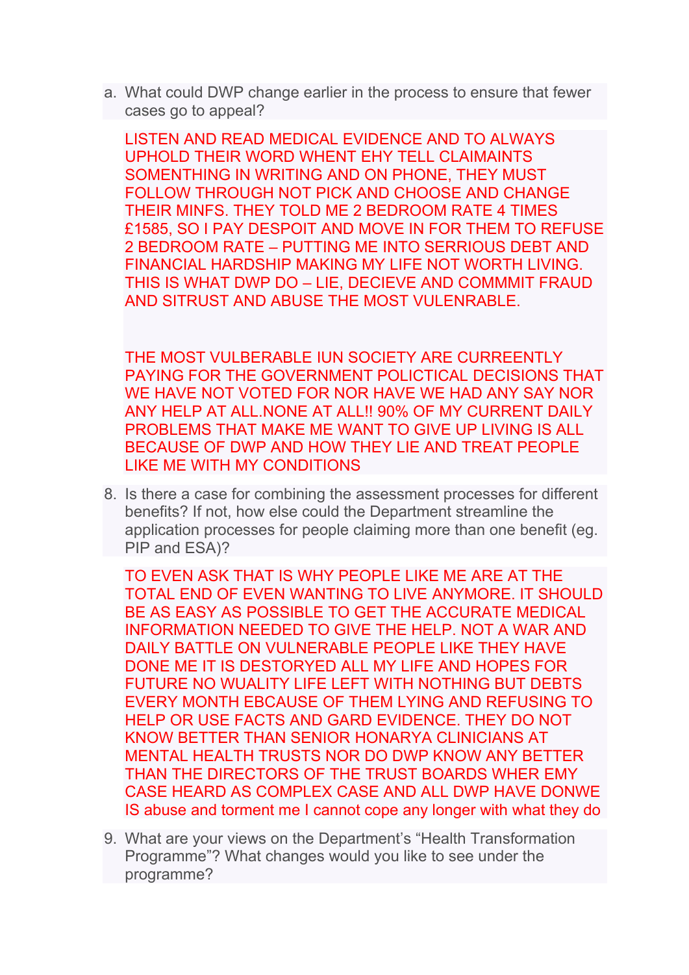a. What could DWP change earlier in the process to ensure that fewer cases go to appeal?

LISTEN AND READ MEDICAL EVIDENCE AND TO ALWAYS UPHOLD THEIR WORD WHENT EHY TELL CLAIMAINTS SOMENTHING IN WRITING AND ON PHONE, THEY MUST FOLLOW THROUGH NOT PICK AND CHOOSE AND CHANGE THEIR MINFS. THEY TOLD ME 2 BEDROOM RATE 4 TIMES £1585, SO I PAY DESPOIT AND MOVE IN FOR THEM TO REFUSE 2 BEDROOM RATE – PUTTING ME INTO SERRIOUS DEBT AND FINANCIAL HARDSHIP MAKING MY LIFE NOT WORTH LIVING. THIS IS WHAT DWP DO – LIE, DECIEVE AND COMMMIT FRAUD AND SITRUST AND ABUSE THE MOST VULENRABLE.

THE MOST VULBERABLE IUN SOCIETY ARE CURREENTLY PAYING FOR THE GOVERNMENT POLICTICAL DECISIONS THAT WE HAVE NOT VOTED FOR NOR HAVE WE HAD ANY SAY NOR ANY HELP AT ALL.NONE AT ALL!! 90% OF MY CURRENT DAILY PROBLEMS THAT MAKE ME WANT TO GIVE UP LIVING IS ALL BECAUSE OF DWP AND HOW THEY LIE AND TREAT PEOPLE LIKE ME WITH MY CONDITIONS

8. Is there a case for combining the assessment processes for different benefits? If not, how else could the Department streamline the application processes for people claiming more than one benefit (eg. PIP and ESA)?

TO EVEN ASK THAT IS WHY PEOPLE LIKE ME ARE AT THE TOTAL END OF EVEN WANTING TO LIVE ANYMORE. IT SHOULD BE AS EASY AS POSSIBLE TO GET THE ACCURATE MEDICAL INFORMATION NEEDED TO GIVE THE HELP. NOT A WAR AND DAILY BATTLE ON VULNERABLE PEOPLE LIKE THEY HAVE DONE ME IT IS DESTORYED ALL MY LIFE AND HOPES FOR FUTURE NO WUALITY LIFE LEFT WITH NOTHING BUT DEBTS EVERY MONTH EBCAUSE OF THEM LYING AND REFUSING TO HELP OR USE FACTS AND GARD EVIDENCE. THEY DO NOT KNOW BETTER THAN SENIOR HONARYA CLINICIANS AT MENTAL HEALTH TRUSTS NOR DO DWP KNOW ANY BETTER THAN THE DIRECTORS OF THE TRUST BOARDS WHER EMY CASE HEARD AS COMPLEX CASE AND ALL DWP HAVE DONWE IS abuse and torment me I cannot cope any longer with what they do

9. What are your views on the Department's "Health Transformation Programme"? What changes would you like to see under the programme?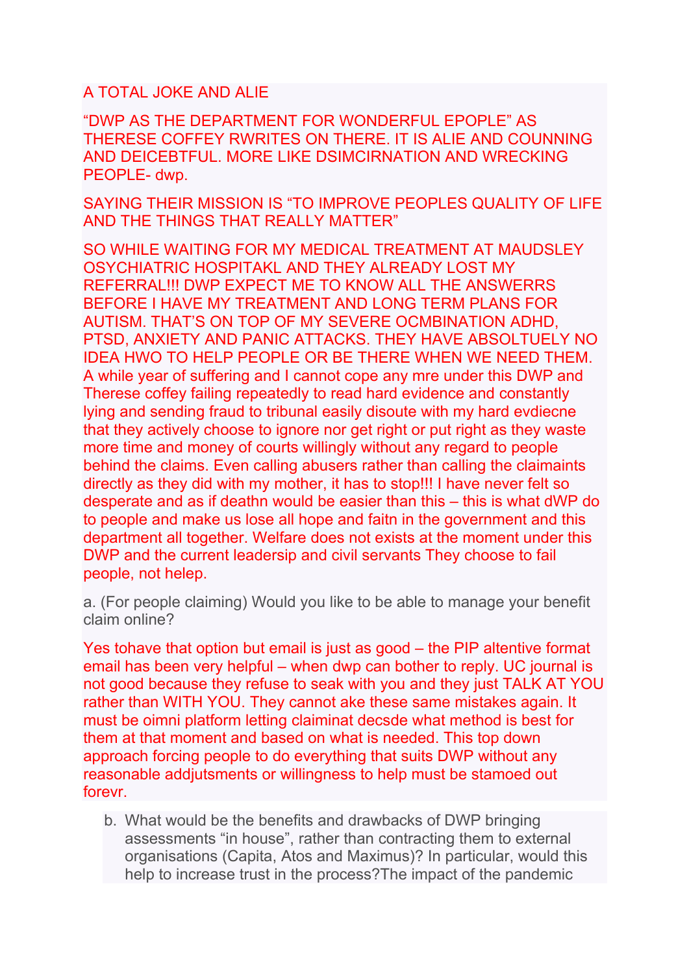A TOTAL JOKE AND ALIE

"DWP AS THE DEPARTMENT FOR WONDERFUL EPOPLE" AS THERESE COFFEY RWRITES ON THERE. IT IS ALIE AND COUNNING AND DEICEBTFUL. MORE LIKE DSIMCIRNATION AND WRECKING PEOPLE- dwp.

SAYING THEIR MISSION IS "TO IMPROVE PEOPLES QUALITY OF LIFE AND THE THINGS THAT REALLY MATTER"

SO WHILE WAITING FOR MY MEDICAL TREATMENT AT MAUDSLEY OSYCHIATRIC HOSPITAKL AND THEY ALREADY LOST MY REFERRAL!!! DWP EXPECT ME TO KNOW ALL THE ANSWERRS BEFORE I HAVE MY TREATMENT AND LONG TERM PLANS FOR AUTISM. THAT'S ON TOP OF MY SEVERE OCMBINATION ADHD, PTSD, ANXIETY AND PANIC ATTACKS. THEY HAVE ABSOLTUELY NO IDEA HWO TO HELP PEOPLE OR BE THERE WHEN WE NEED THEM. A while year of suffering and I cannot cope any mre under this DWP and Therese coffey failing repeatedly to read hard evidence and constantly lying and sending fraud to tribunal easily disoute with my hard evdiecne that they actively choose to ignore nor get right or put right as they waste more time and money of courts willingly without any regard to people behind the claims. Even calling abusers rather than calling the claimaints directly as they did with my mother, it has to stop!!! I have never felt so desperate and as if deathn would be easier than this – this is what dWP do to people and make us lose all hope and faitn in the government and this department all together. Welfare does not exists at the moment under this DWP and the current leadersip and civil servants They choose to fail people, not helep.

a. (For people claiming) Would you like to be able to manage your benefit claim online?

Yes tohave that option but email is just as good – the PIP altentive format email has been very helpful – when dwp can bother to reply. UC journal is not good because they refuse to seak with you and they just TALK AT YOU rather than WITH YOU. They cannot ake these same mistakes again. It must be oimni platform letting claiminat decsde what method is best for them at that moment and based on what is needed. This top down approach forcing people to do everything that suits DWP without any reasonable addjutsments or willingness to help must be stamoed out forevr.

b. What would be the benefits and drawbacks of DWP bringing assessments "in house", rather than contracting them to external organisations (Capita, Atos and Maximus)? In particular, would this help to increase trust in the process?The impact of the pandemic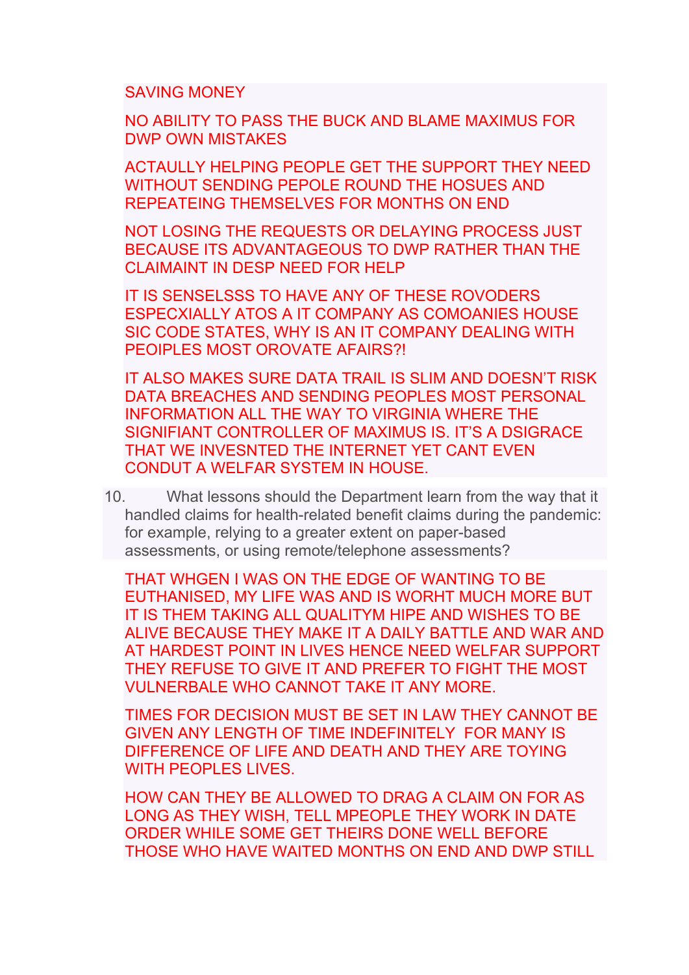SAVING MONEY

NO ABILITY TO PASS THE BUCK AND BLAME MAXIMUS FOR DWP OWN MISTAKES

ACTAULLY HELPING PEOPLE GET THE SUPPORT THEY NEED WITHOUT SENDING PEPOLE ROUND THE HOSUES AND REPEATEING THEMSELVES FOR MONTHS ON END

NOT LOSING THE REQUESTS OR DELAYING PROCESS JUST BECAUSE ITS ADVANTAGEOUS TO DWP RATHER THAN THE CLAIMAINT IN DESP NEED FOR HELP

IT IS SENSELSSS TO HAVE ANY OF THESE ROVODERS ESPECXIALLY ATOS A IT COMPANY AS COMOANIES HOUSE SIC CODE STATES, WHY IS AN IT COMPANY DEALING WITH PEOIPLES MOST OROVATE AFAIRS?!

IT ALSO MAKES SURE DATA TRAIL IS SLIM AND DOESN'T RISK DATA BREACHES AND SENDING PEOPLES MOST PERSONAL INFORMATION ALL THE WAY TO VIRGINIA WHERE THE SIGNIFIANT CONTROLLER OF MAXIMUS IS. IT'S A DSIGRACE THAT WE INVESNTED THE INTERNET YET CANT EVEN CONDUT A WELFAR SYSTEM IN HOUSE.

10. What lessons should the Department learn from the way that it handled claims for health-related benefit claims during the pandemic: for example, relying to a greater extent on paper-based assessments, or using remote/telephone assessments?

THAT WHGEN I WAS ON THE EDGE OF WANTING TO BE EUTHANISED, MY LIFE WAS AND IS WORHT MUCH MORE BUT IT IS THEM TAKING ALL QUALITYM HIPE AND WISHES TO BE ALIVE BECAUSE THEY MAKE IT A DAILY BATTLE AND WAR AND AT HARDEST POINT IN LIVES HENCE NEED WELFAR SUPPORT THEY REFUSE TO GIVE IT AND PREFER TO FIGHT THE MOST VULNERBALE WHO CANNOT TAKE IT ANY MORE.

TIMES FOR DECISION MUST BE SET IN LAW THEY CANNOT BE GIVEN ANY LENGTH OF TIME INDEFINITELY FOR MANY IS DIFFERENCE OF LIFE AND DEATH AND THEY ARE TOYING WITH PEOPLES LIVES.

HOW CAN THEY BE ALLOWED TO DRAG A CLAIM ON FOR AS LONG AS THEY WISH, TELL MPEOPLE THEY WORK IN DATE ORDER WHILE SOME GET THEIRS DONE WELL BEFORE THOSE WHO HAVE WAITED MONTHS ON END AND DWP STILL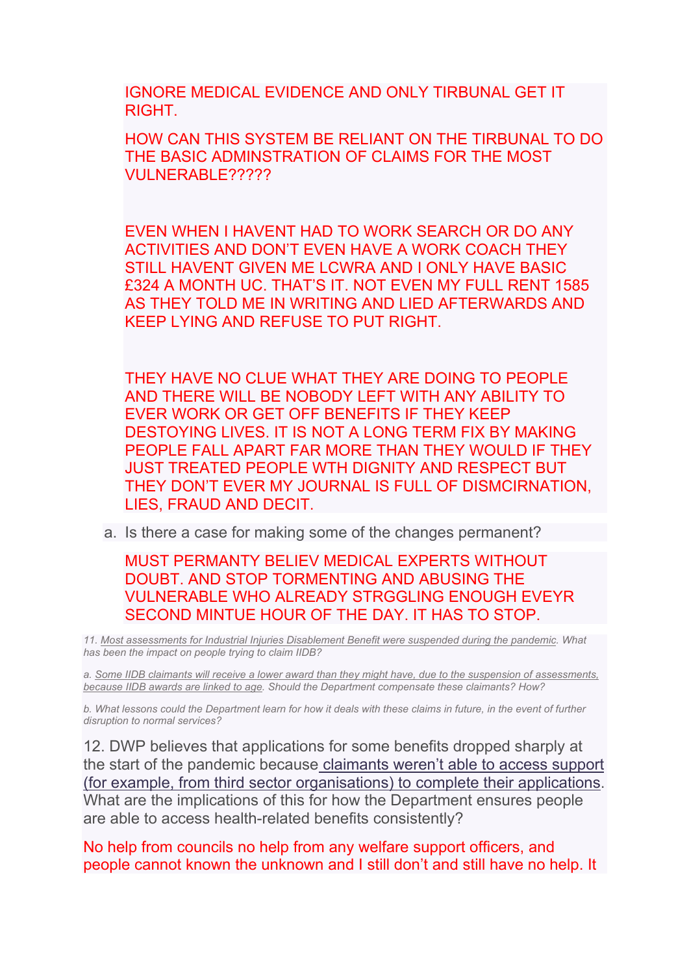IGNORE MEDICAL EVIDENCE AND ONLY TIRBUNAL GET IT RIGHT.

HOW CAN THIS SYSTEM BE RELIANT ON THE TIRBUNAL TO DO THE BASIC ADMINSTRATION OF CLAIMS FOR THE MOST VULNERABLE?????

EVEN WHEN I HAVENT HAD TO WORK SEARCH OR DO ANY ACTIVITIES AND DON'T EVEN HAVE A WORK COACH THEY STILL HAVENT GIVEN ME LCWRA AND I ONLY HAVE BASIC £324 A MONTH UC. THAT'S IT. NOT EVEN MY FULL RENT 1585 AS THEY TOLD ME IN WRITING AND LIED AFTERWARDS AND KEEP LYING AND REFUSE TO PUT RIGHT.

THEY HAVE NO CLUE WHAT THEY ARE DOING TO PEOPLE AND THERE WILL BE NOBODY LEFT WITH ANY ABILITY TO EVER WORK OR GET OFF BENEFITS IF THEY KEEP DESTOYING LIVES. IT IS NOT A LONG TERM FIX BY MAKING PEOPLE FALL APART FAR MORE THAN THEY WOULD IF THEY JUST TREATED PEOPLE WTH DIGNITY AND RESPECT BUT THEY DON'T EVER MY JOURNAL IS FULL OF DISMCIRNATION, LIES, FRAUD AND DECIT.

a. Is there a case for making some of the changes permanent?

MUST PERMANTY BELIEV MEDICAL EXPERTS WITHOUT DOUBT. AND STOP TORMENTING AND ABUSING THE VULNERABLE WHO ALREADY STRGGLING ENOUGH EVEYR SECOND MINTUE HOUR OF THE DAY. IT HAS TO STOP.

*11. [Most](https://committees.parliament.uk/publications/3837/documents/38519/default/) [assessments](https://committees.parliament.uk/publications/3837/documents/38519/default/) [for](https://committees.parliament.uk/publications/3837/documents/38519/default/) [Industrial](https://committees.parliament.uk/publications/3837/documents/38519/default/) [Injuries](https://committees.parliament.uk/publications/3837/documents/38519/default/) [Disablement](https://committees.parliament.uk/publications/3837/documents/38519/default/) [Benefit](https://committees.parliament.uk/publications/3837/documents/38519/default/) [were](https://committees.parliament.uk/publications/3837/documents/38519/default/) [suspended](https://committees.parliament.uk/publications/3837/documents/38519/default/) [during](https://committees.parliament.uk/publications/3837/documents/38519/default/) [the](https://committees.parliament.uk/publications/3837/documents/38519/default/) [pandemic.](https://committees.parliament.uk/publications/3837/documents/38519/default/) What has been the impact on people trying to claim IIDB?*

a. [Some](https://committees.parliament.uk/oralevidence/1630/pdf/) [IIDB](https://committees.parliament.uk/oralevidence/1630/pdf/) [claimants](https://committees.parliament.uk/oralevidence/1630/pdf/) [will](https://committees.parliament.uk/oralevidence/1630/pdf/) [receive](https://committees.parliament.uk/oralevidence/1630/pdf/) [a](https://committees.parliament.uk/oralevidence/1630/pdf/) [lower](https://committees.parliament.uk/oralevidence/1630/pdf/) [award](https://committees.parliament.uk/oralevidence/1630/pdf/) [than](https://committees.parliament.uk/oralevidence/1630/pdf/) [they](https://committees.parliament.uk/oralevidence/1630/pdf/) [might](https://committees.parliament.uk/oralevidence/1630/pdf/) [have,](https://committees.parliament.uk/oralevidence/1630/pdf/) [due](https://committees.parliament.uk/oralevidence/1630/pdf/) [to](https://committees.parliament.uk/oralevidence/1630/pdf/) [the](https://committees.parliament.uk/oralevidence/1630/pdf/) [suspension](https://committees.parliament.uk/oralevidence/1630/pdf/) [of](https://committees.parliament.uk/oralevidence/1630/pdf/) [assessments,](https://committees.parliament.uk/oralevidence/1630/pdf/) *[because](https://committees.parliament.uk/oralevidence/1630/pdf/) [IIDB](https://committees.parliament.uk/oralevidence/1630/pdf/) [awards](https://committees.parliament.uk/oralevidence/1630/pdf/) [are](https://committees.parliament.uk/oralevidence/1630/pdf/) [linked](https://committees.parliament.uk/oralevidence/1630/pdf/) [to](https://committees.parliament.uk/oralevidence/1630/pdf/) [age.](https://committees.parliament.uk/oralevidence/1630/pdf/) Should the Department compensate these claimants? How?*

b. What lessons could the Department learn for how it deals with these claims in future, in the event of further *disruption to normal services?*

12. DWP believes that applications for some benefits dro[p](https://publications.parliament.uk/pa/cm5801/cmselect/cmworpen/732/73202.htm)p[e](https://publications.parliament.uk/pa/cm5801/cmselect/cmworpen/732/73202.htm)d sharply at the start of the pandemic becaus[e](https://publications.parliament.uk/pa/cm5801/cmselect/cmworpen/732/73202.htm) [claimants](https://publications.parliament.uk/pa/cm5801/cmselect/cmworpen/732/73202.htm) [weren't](https://publications.parliament.uk/pa/cm5801/cmselect/cmworpen/732/73202.htm) [able](https://publications.parliament.uk/pa/cm5801/cmselect/cmworpen/732/73202.htm) [to](https://publications.parliament.uk/pa/cm5801/cmselect/cmworpen/732/73202.htm) [access](https://publications.parliament.uk/pa/cm5801/cmselect/cmworpen/732/73202.htm) [support](https://publications.parliament.uk/pa/cm5801/cmselect/cmworpen/732/73202.htm) [\(for](https://publications.parliament.uk/pa/cm5801/cmselect/cmworpen/732/73202.htm) [example,](https://publications.parliament.uk/pa/cm5801/cmselect/cmworpen/732/73202.htm) [from](https://publications.parliament.uk/pa/cm5801/cmselect/cmworpen/732/73202.htm) [third](https://publications.parliament.uk/pa/cm5801/cmselect/cmworpen/732/73202.htm) [sector](https://publications.parliament.uk/pa/cm5801/cmselect/cmworpen/732/73202.htm) [organisations\)](https://publications.parliament.uk/pa/cm5801/cmselect/cmworpen/732/73202.htm) [to](https://publications.parliament.uk/pa/cm5801/cmselect/cmworpen/732/73202.htm) [complete](https://publications.parliament.uk/pa/cm5801/cmselect/cmworpen/732/73202.htm) [their](https://publications.parliament.uk/pa/cm5801/cmselect/cmworpen/732/73202.htm) [applications](https://publications.parliament.uk/pa/cm5801/cmselect/cmworpen/732/73202.htm). What are the implications of this for how the Department ensures people are able to access health-related benefits consistently?

No help from councils no help from any welfare support officers, and people cannot known the unknown and I still don't and still have no help. It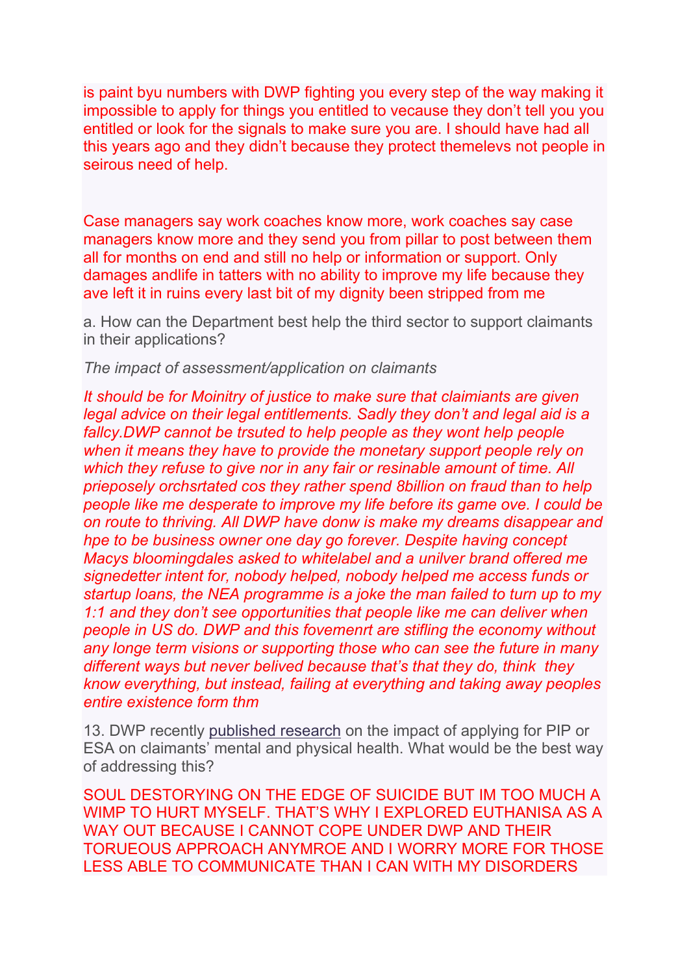is paint byu numbers with DWP fighting you every step of the way making it impossible to apply for things you entitled to vecause they don't tell you you entitled or look for the signals to make sure you are. I should have had all this years ago and they didn't because they protect themelevs not people in seirous need of help.

Case managers say work coaches know more, work coaches say case managers know more and they send you from pillar to post between them all for months on end and still no help or information or support. Only damages andlife in tatters with no ability to improve my life because they ave left it in ruins every last bit of my dignity been stripped from me

a. How can the Department best help the third sector to support claimants in their applications?

*The impact of assessment/application on claimants*

*It should be for Moinitry of justice to make sure that claimiants are given legal advice on their legal entitlements. Sadly they don't and legal aid is a fallcy.DWP cannot be trsuted to help people as they wont help people when it means they have to provide the monetary support people rely on which they refuse to give nor in any fair or resinable amount of time. All prieposely orchsrtated cos they rather spend 8billion on fraud than to help people like me desperate to improve my life before its game ove. I could be on route to thriving. All DWP have donw is make my dreams disappear and hpe to be business owner one day go forever. Despite having concept Macys bloomingdales asked to whitelabel and a unilver brand offered me signedetter intent for, nobody helped, nobody helped me access funds or startup loans, the NEA programme is a joke the man failed to turn up to my 1:1 and they don't see opportunities that people like me can deliver when people in US do. DWP and this fovemenrt are stifling the economy without any longe term visions or supporting those who can see the future in many different ways but never belived because that's that they do, think they know everything, but instead, failing at everything and taking away peoples entire existence form thm*

13. DWP recently [published](https://www.gov.uk/government/publications/claimant-views-on-ways-to-improve-pip-and-esa-questionnaires/claimant-views-on-ways-to-improve-pip-and-esa-questionnaires) [research](https://www.gov.uk/government/publications/claimant-views-on-ways-to-improve-pip-and-esa-questionnaires/claimant-views-on-ways-to-improve-pip-and-esa-questionnaires) on the impact of applying for PIP or ESA on claimants' mental and physical health. What would be the best way of addressing this?

SOUL DESTORYING ON THE EDGE OF SUICIDE BUT IM TOO MUCH A WIMP TO HURT MYSELF. THAT'S WHY I EXPLORED EUTHANISA AS A WAY OUT BECAUSE I CANNOT COPE UNDER DWP AND THEIR TORUEOUS APPROACH ANYMROE AND I WORRY MORE FOR THOSE LESS ABLE TO COMMUNICATE THAN I CAN WITH MY DISORDERS